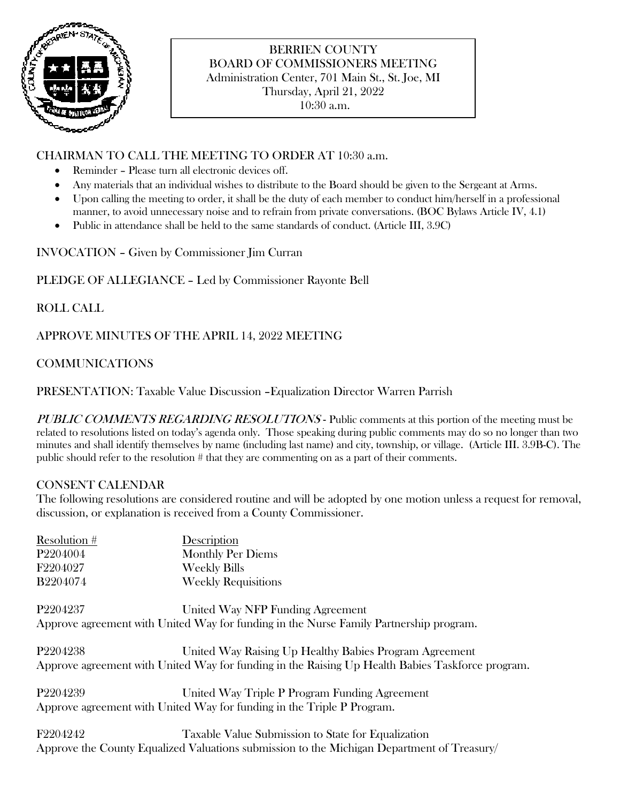

# BERRIEN COUNTY BOARD OF COMMISSIONERS MEETING Administration Center, 701 Main St., St. Joe, MI Thursday, April 21, 2022

10:30 a.m.

### CHAIRMAN TO CALL THE MEETING TO ORDER AT 10:30 a.m.

- Reminder Please turn all electronic devices off.
- Any materials that an individual wishes to distribute to the Board should be given to the Sergeant at Arms.
- Upon calling the meeting to order, it shall be the duty of each member to conduct him/herself in a professional manner, to avoid unnecessary noise and to refrain from private conversations. (BOC Bylaws Article IV, 4.1)
- Public in attendance shall be held to the same standards of conduct. (Article III, 3.9C)

INVOCATION – Given by Commissioner Jim Curran

PLEDGE OF ALLEGIANCE – Led by Commissioner Rayonte Bell

## ROLL CALL

APPROVE MINUTES OF THE APRIL 14, 2022 MEETING

## COMMUNICATIONS

PRESENTATION: Taxable Value Discussion –Equalization Director Warren Parrish

PUBLIC COMMENTS REGARDING RESOLUTIONS - Public comments at this portion of the meeting must be related to resolutions listed on today's agenda only. Those speaking during public comments may do so no longer than two minutes and shall identify themselves by name (including last name) and city, township, or village. (Article III. 3.9B-C). The public should refer to the resolution # that they are commenting on as a part of their comments.

## CONSENT CALENDAR

The following resolutions are considered routine and will be adopted by one motion unless a request for removal, discussion, or explanation is received from a County Commissioner.

| Resolution #         | Description                |
|----------------------|----------------------------|
| P <sub>2204004</sub> | <b>Monthly Per Diems</b>   |
| F2204027             | <b>Weekly Bills</b>        |
| <b>B2204074</b>      | <b>Weekly Requisitions</b> |

P2204237 United Way NFP Funding Agreement Approve agreement with United Way for funding in the Nurse Family Partnership program.

P2204238 United Way Raising Up Healthy Babies Program Agreement Approve agreement with United Way for funding in the Raising Up Health Babies Taskforce program.

P2204239 United Way Triple P Program Funding Agreement Approve agreement with United Way for funding in the Triple P Program.

F2204242 Taxable Value Submission to State for Equalization Approve the County Equalized Valuations submission to the Michigan Department of Treasury/